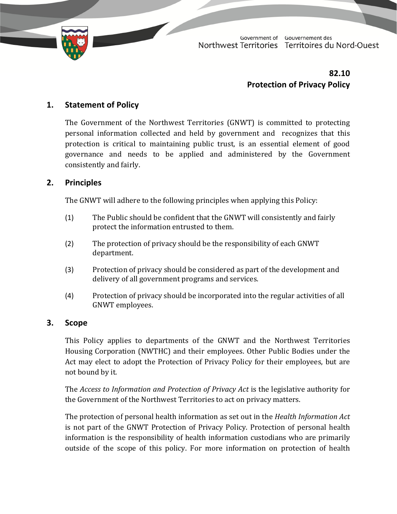

Government of Gouvernement des Northwest Territories Territoires du Nord-Ouest

# **82.10 Protection of Privacy Policy**

# **1. Statement of Policy**

The Government of the Northwest Territories (GNWT) is committed to protecting personal information collected and held by government and recognizes that this protection is critical to maintaining public trust, is an essential element of good governance and needs to be applied and administered by the Government consistently and fairly.

### **2. Principles**

The GNWT will adhere to the following principles when applying this Policy:

- $(1)$  The Public should be confident that the GNWT will consistently and fairly protect the information entrusted to them.
- (2) The protection of privacy should be the responsibility of each GNWT department.
- (3) Protection of privacy should be considered as part of the development and delivery of all government programs and services.
- (4) Protection of privacy should be incorporated into the regular activities of all GNWT employees.

# **3. Scope**

This Policy applies to departments of the GNWT and the Northwest Territories Housing Corporation (NWTHC) and their employees. Other Public Bodies under the Act may elect to adopt the Protection of Privacy Policy for their employees, but are not bound by it.

The *Access to Information and Protection of Privacy Act* is the legislative authority for the Government of the Northwest Territories to act on privacy matters.

The protection of personal health information as set out in the *Health Information Act* is not part of the GNWT Protection of Privacy Policy. Protection of personal health information is the responsibility of health information custodians who are primarily outside of the scope of this policy. For more information on protection of health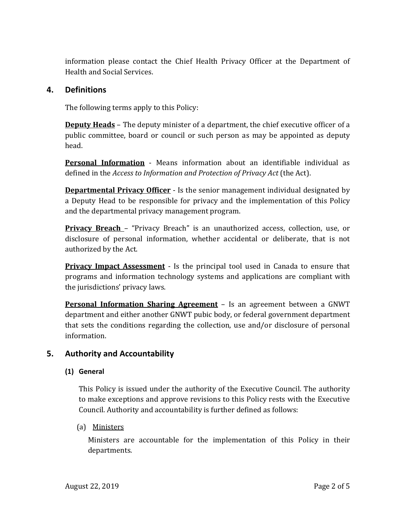information please contact the Chief Health Privacy Officer at the Department of Health and Social Services.

#### **4. Definitions**

The following terms apply to this Policy:

**Deputy Heads** – The deputy minister of a department, the chief executive officer of a public committee, board or council or such person as may be appointed as deputy head. 

**Personal Information** - Means information about an identifiable individual as defined in the *Access* to *Information* and *Protection* of *Privacy Act* (the Act).

**Departmental Privacy Officer** - Is the senior management individual designated by a Deputy Head to be responsible for privacy and the implementation of this Policy and the departmental privacy management program.

**Privacy Breach** – "Privacy Breach" is an unauthorized access, collection, use, or disclosure of personal information, whether accidental or deliberate, that is not authorized by the Act.

**Privacy Impact Assessment** - Is the principal tool used in Canada to ensure that programs and information technology systems and applications are compliant with the jurisdictions' privacy laws.

**Personal Information Sharing Agreement** – Is an agreement between a GNWT department and either another GNWT pubic body, or federal government department that sets the conditions regarding the collection, use and/or disclosure of personal information. 

# **5. Authority and Accountability**

#### **(1) General**

This Policy is issued under the authority of the Executive Council. The authority to make exceptions and approve revisions to this Policy rests with the Executive Council. Authority and accountability is further defined as follows:

#### (a) Ministers

Ministers are accountable for the implementation of this Policy in their departments.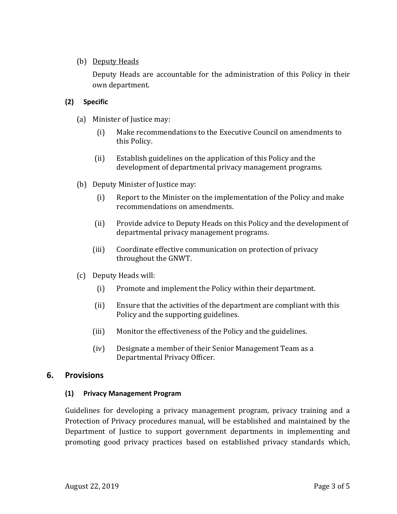#### (b) Deputy Heads

Deputy Heads are accountable for the administration of this Policy in their own department.

#### **(2) Specific**

- (a) Minister of Justice may:
	- (i) Make recommendations to the Executive Council on amendments to this Policy.
	- (ii) Establish guidelines on the application of this Policy and the development of departmental privacy management programs.
- (b) Deputy Minister of Justice may:
	- $(i)$  Report to the Minister on the implementation of the Policy and make recommendations on amendments.
	- (ii) Provide advice to Deputy Heads on this Policy and the development of departmental privacy management programs.
	- (iii) Coordinate effective communication on protection of privacy throughout the GNWT.
- (c) Deputy Heads will:
	- (i) Promote and implement the Policy within their department.
	- (ii) Ensure that the activities of the department are compliant with this Policy and the supporting guidelines.
	- (iii) Monitor the effectiveness of the Policy and the guidelines.
	- (iv) Designate a member of their Senior Management Team as a Departmental Privacy Officer.

#### **6. Provisions**

#### **(1) Privacy Management Program**

Guidelines for developing a privacy management program, privacy training and a Protection of Privacy procedures manual, will be established and maintained by the Department of Justice to support government departments in implementing and promoting good privacy practices based on established privacy standards which,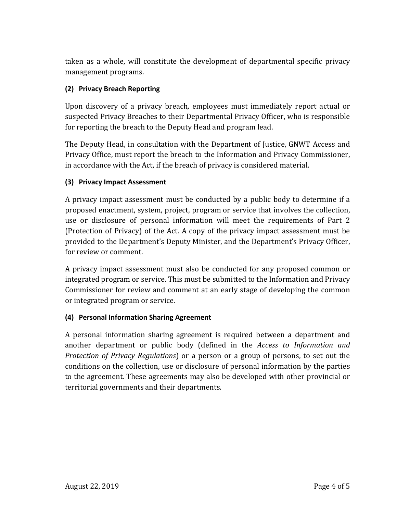taken as a whole, will constitute the development of departmental specific privacy management programs.

# **(2) Privacy Breach Reporting**

Upon discovery of a privacy breach, employees must immediately report actual or suspected Privacy Breaches to their Departmental Privacy Officer, who is responsible for reporting the breach to the Deputy Head and program lead.

The Deputy Head, in consultation with the Department of Justice, GNWT Access and Privacy Office, must report the breach to the Information and Privacy Commissioner, in accordance with the Act, if the breach of privacy is considered material.

### **(3) Privacy Impact Assessment**

A privacy impact assessment must be conducted by a public body to determine if a proposed enactment, system, project, program or service that involves the collection, use or disclosure of personal information will meet the requirements of Part 2 (Protection of Privacy) of the Act. A copy of the privacy impact assessment must be provided to the Department's Deputy Minister, and the Department's Privacy Officer, for review or comment.

A privacy impact assessment must also be conducted for any proposed common or integrated program or service. This must be submitted to the Information and Privacy Commissioner for review and comment at an early stage of developing the common or integrated program or service.

#### **(4) Personal Information Sharing Agreement**

A personal information sharing agreement is required between a department and another department or public body (defined in the *Access to Information and Protection of Privacy Regulations*) or a person or a group of persons, to set out the conditions on the collection, use or disclosure of personal information by the parties to the agreement. These agreements may also be developed with other provincial or territorial governments and their departments.